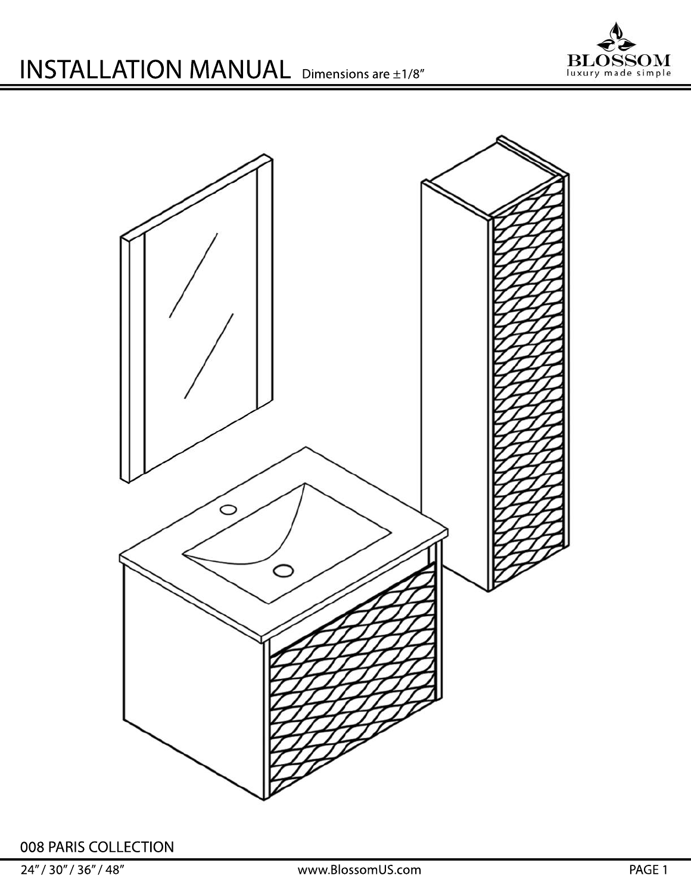



008 PARIS COLLECTION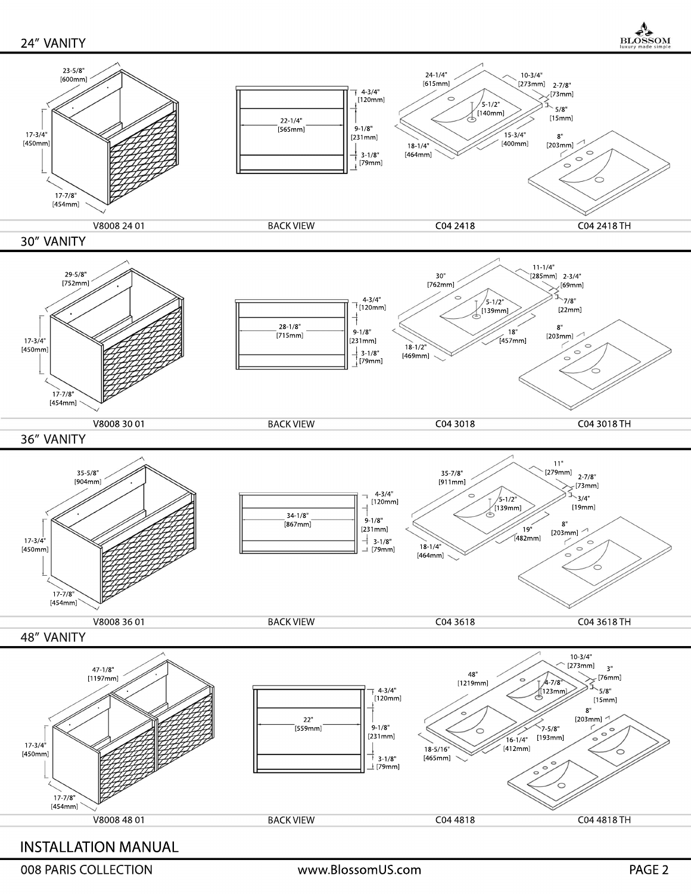24" VANITY

**BLOSSOM** 

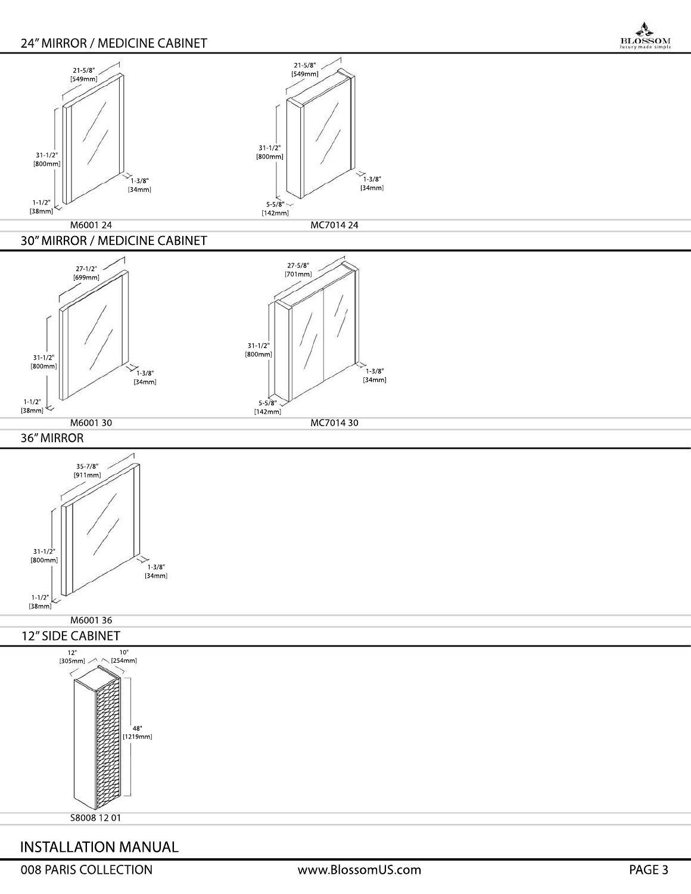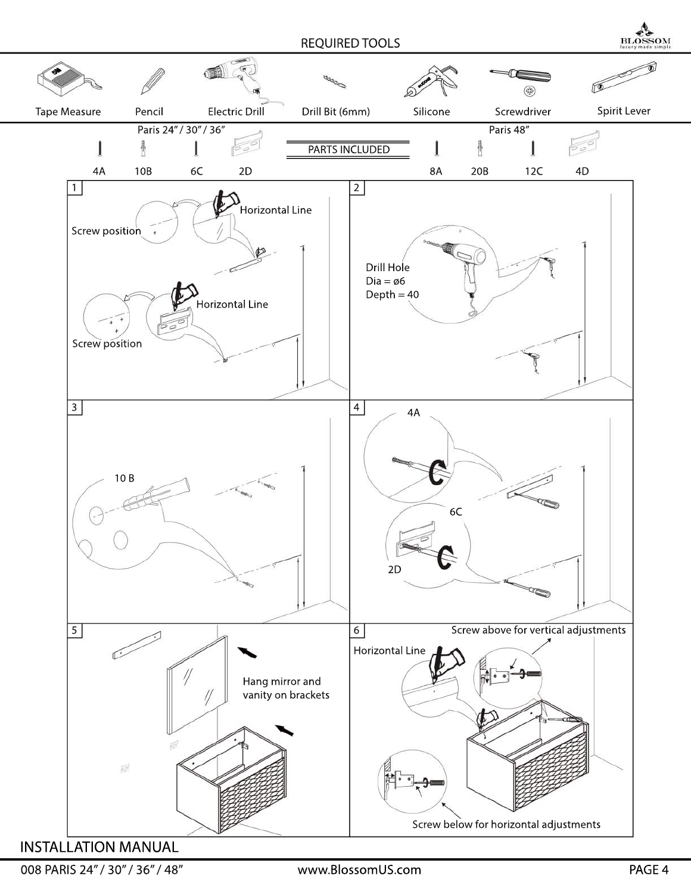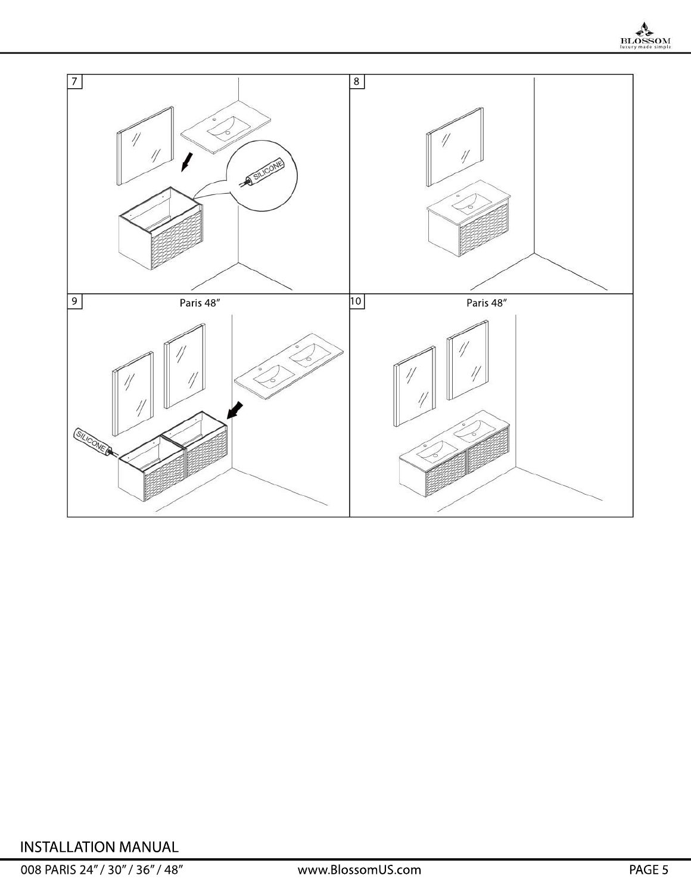

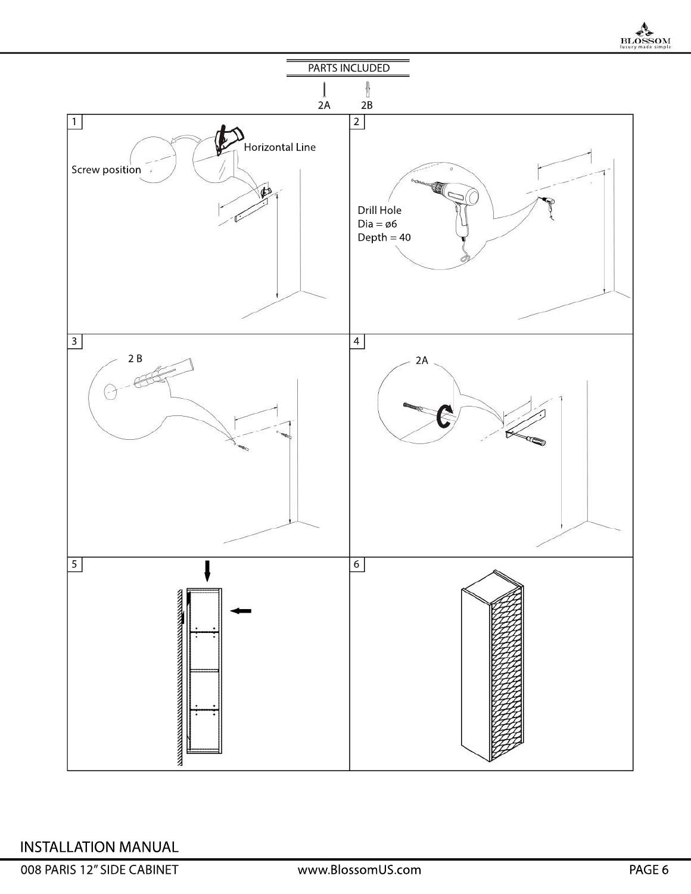